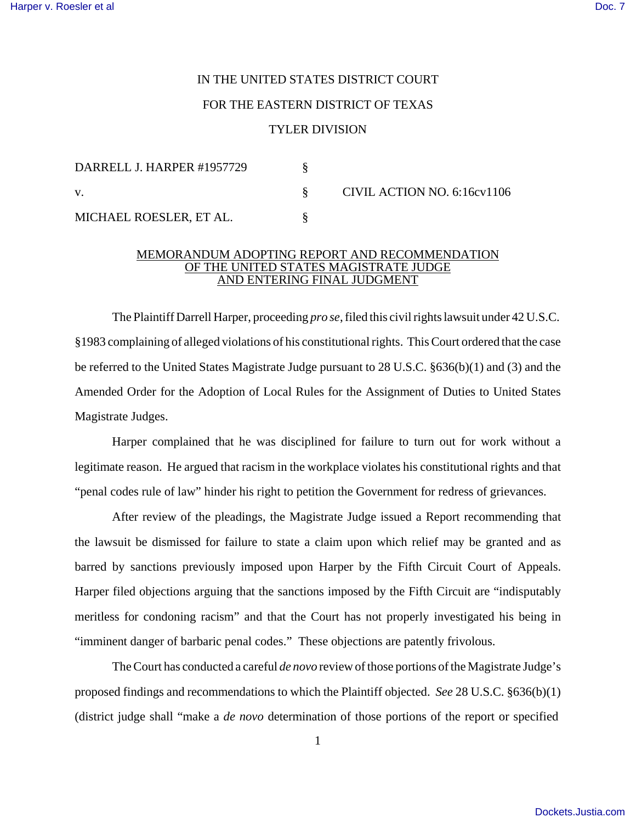## IN THE UNITED STATES DISTRICT COURT FOR THE EASTERN DISTRICT OF TEXAS TYLER DIVISION

| DARRELL J. HARPER #1957729 |  | CIVIL ACTION NO. 6:16cv1106 |
|----------------------------|--|-----------------------------|
|                            |  |                             |
| MICHAEL ROESLER, ET AL.    |  |                             |

## MEMORANDUM ADOPTING REPORT AND RECOMMENDATION OF THE UNITED STATES MAGISTRATE JUDGE AND ENTERING FINAL JUDGMENT

The Plaintiff Darrell Harper, proceeding *pro se*, filed this civil rights lawsuit under 42 U.S.C. §1983 complaining of alleged violations of his constitutional rights. This Court ordered that the case be referred to the United States Magistrate Judge pursuant to 28 U.S.C. §636(b)(1) and (3) and the Amended Order for the Adoption of Local Rules for the Assignment of Duties to United States Magistrate Judges.

Harper complained that he was disciplined for failure to turn out for work without a legitimate reason. He argued that racism in the workplace violates his constitutional rights and that "penal codes rule of law" hinder his right to petition the Government for redress of grievances.

After review of the pleadings, the Magistrate Judge issued a Report recommending that the lawsuit be dismissed for failure to state a claim upon which relief may be granted and as barred by sanctions previously imposed upon Harper by the Fifth Circuit Court of Appeals. Harper filed objections arguing that the sanctions imposed by the Fifth Circuit are "indisputably meritless for condoning racism" and that the Court has not properly investigated his being in "imminent danger of barbaric penal codes." These objections are patently frivolous.

The Court has conducted a careful *de novo* review of those portions of the Magistrate Judge's proposed findings and recommendations to which the Plaintiff objected. *See* 28 U.S.C. §636(b)(1) (district judge shall "make a *de novo* determination of those portions of the report or specified